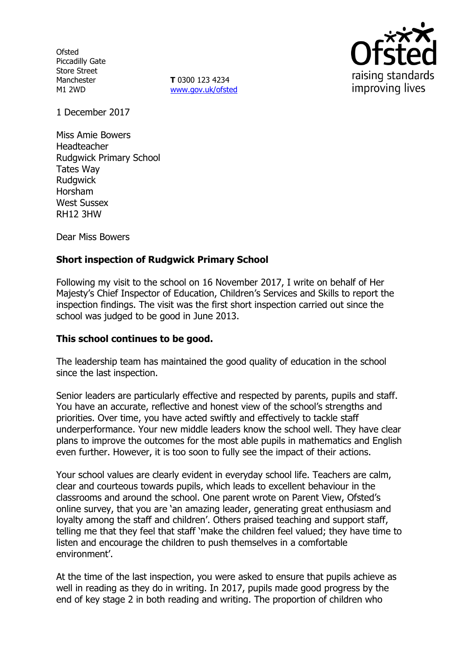**Ofsted** Piccadilly Gate Store Street Manchester M1 2WD

**T** 0300 123 4234 www.gov.uk/ofsted



1 December 2017

Miss Amie Bowers Headteacher Rudgwick Primary School Tates Way Rudgwick Horsham West Sussex RH12 3HW

Dear Miss Bowers

# **Short inspection of Rudgwick Primary School**

Following my visit to the school on 16 November 2017, I write on behalf of Her Majesty's Chief Inspector of Education, Children's Services and Skills to report the inspection findings. The visit was the first short inspection carried out since the school was judged to be good in June 2013.

### **This school continues to be good.**

The leadership team has maintained the good quality of education in the school since the last inspection.

Senior leaders are particularly effective and respected by parents, pupils and staff. You have an accurate, reflective and honest view of the school's strengths and priorities. Over time, you have acted swiftly and effectively to tackle staff underperformance. Your new middle leaders know the school well. They have clear plans to improve the outcomes for the most able pupils in mathematics and English even further. However, it is too soon to fully see the impact of their actions.

Your school values are clearly evident in everyday school life. Teachers are calm, clear and courteous towards pupils, which leads to excellent behaviour in the classrooms and around the school. One parent wrote on Parent View, Ofsted's online survey, that you are 'an amazing leader, generating great enthusiasm and loyalty among the staff and children'. Others praised teaching and support staff, telling me that they feel that staff 'make the children feel valued; they have time to listen and encourage the children to push themselves in a comfortable environment'.

At the time of the last inspection, you were asked to ensure that pupils achieve as well in reading as they do in writing. In 2017, pupils made good progress by the end of key stage 2 in both reading and writing. The proportion of children who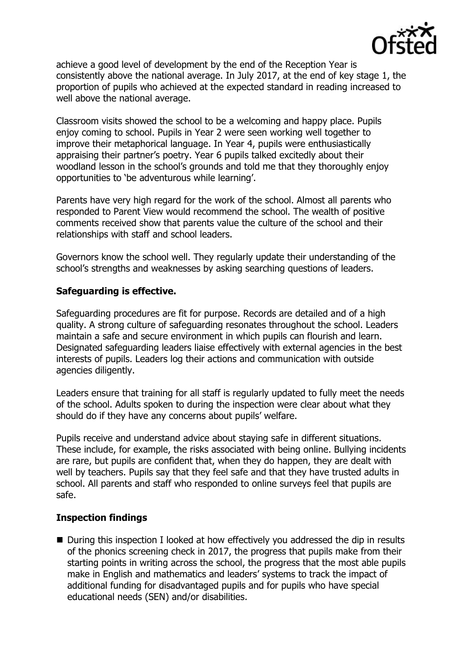

achieve a good level of development by the end of the Reception Year is consistently above the national average. In July 2017, at the end of key stage 1, the proportion of pupils who achieved at the expected standard in reading increased to well above the national average.

Classroom visits showed the school to be a welcoming and happy place. Pupils enjoy coming to school. Pupils in Year 2 were seen working well together to improve their metaphorical language. In Year 4, pupils were enthusiastically appraising their partner's poetry. Year 6 pupils talked excitedly about their woodland lesson in the school's grounds and told me that they thoroughly enjoy opportunities to 'be adventurous while learning'.

Parents have very high regard for the work of the school. Almost all parents who responded to Parent View would recommend the school. The wealth of positive comments received show that parents value the culture of the school and their relationships with staff and school leaders.

Governors know the school well. They regularly update their understanding of the school's strengths and weaknesses by asking searching questions of leaders.

## **Safeguarding is effective.**

Safeguarding procedures are fit for purpose. Records are detailed and of a high quality. A strong culture of safeguarding resonates throughout the school. Leaders maintain a safe and secure environment in which pupils can flourish and learn. Designated safeguarding leaders liaise effectively with external agencies in the best interests of pupils. Leaders log their actions and communication with outside agencies diligently.

Leaders ensure that training for all staff is regularly updated to fully meet the needs of the school. Adults spoken to during the inspection were clear about what they should do if they have any concerns about pupils' welfare.

Pupils receive and understand advice about staying safe in different situations. These include, for example, the risks associated with being online. Bullying incidents are rare, but pupils are confident that, when they do happen, they are dealt with well by teachers. Pupils say that they feel safe and that they have trusted adults in school. All parents and staff who responded to online surveys feel that pupils are safe.

### **Inspection findings**

■ During this inspection I looked at how effectively you addressed the dip in results of the phonics screening check in 2017, the progress that pupils make from their starting points in writing across the school, the progress that the most able pupils make in English and mathematics and leaders' systems to track the impact of additional funding for disadvantaged pupils and for pupils who have special educational needs (SEN) and/or disabilities.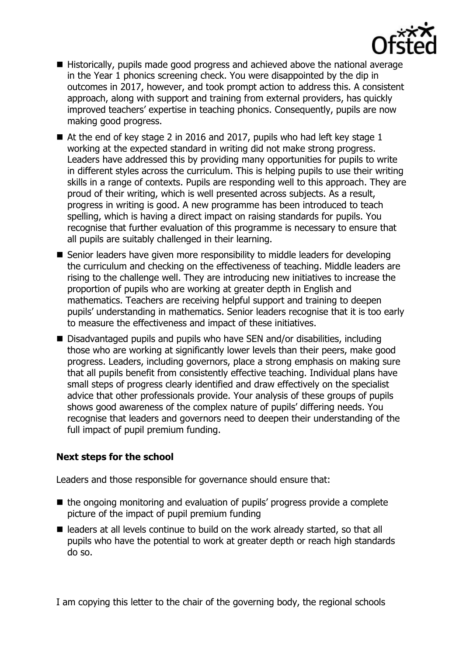

- Historically, pupils made good progress and achieved above the national average in the Year 1 phonics screening check. You were disappointed by the dip in outcomes in 2017, however, and took prompt action to address this. A consistent approach, along with support and training from external providers, has quickly improved teachers' expertise in teaching phonics. Consequently, pupils are now making good progress.
- $\blacksquare$  At the end of key stage 2 in 2016 and 2017, pupils who had left key stage 1 working at the expected standard in writing did not make strong progress. Leaders have addressed this by providing many opportunities for pupils to write in different styles across the curriculum. This is helping pupils to use their writing skills in a range of contexts. Pupils are responding well to this approach. They are proud of their writing, which is well presented across subjects. As a result, progress in writing is good. A new programme has been introduced to teach spelling, which is having a direct impact on raising standards for pupils. You recognise that further evaluation of this programme is necessary to ensure that all pupils are suitably challenged in their learning.
- Senior leaders have given more responsibility to middle leaders for developing the curriculum and checking on the effectiveness of teaching. Middle leaders are rising to the challenge well. They are introducing new initiatives to increase the proportion of pupils who are working at greater depth in English and mathematics. Teachers are receiving helpful support and training to deepen pupils' understanding in mathematics. Senior leaders recognise that it is too early to measure the effectiveness and impact of these initiatives.
- Disadvantaged pupils and pupils who have SEN and/or disabilities, including those who are working at significantly lower levels than their peers, make good progress. Leaders, including governors, place a strong emphasis on making sure that all pupils benefit from consistently effective teaching. Individual plans have small steps of progress clearly identified and draw effectively on the specialist advice that other professionals provide. Your analysis of these groups of pupils shows good awareness of the complex nature of pupils' differing needs. You recognise that leaders and governors need to deepen their understanding of the full impact of pupil premium funding.

### **Next steps for the school**

Leaders and those responsible for governance should ensure that:

- $\blacksquare$  the ongoing monitoring and evaluation of pupils' progress provide a complete picture of the impact of pupil premium funding
- leaders at all levels continue to build on the work already started, so that all pupils who have the potential to work at greater depth or reach high standards do so.

I am copying this letter to the chair of the governing body, the regional schools